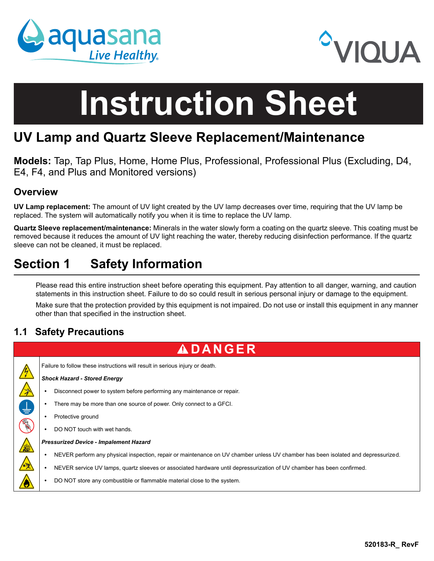



# **Instruction Sheet**

# **UV Lamp and Quartz Sleeve Replacement/Maintenance**

**Models:** Tap, Tap Plus, Home, Home Plus, Professional, Professional Plus (Excluding, D4, E4, F4, and Plus and Monitored versions)

## **Overview**

**UV Lamp replacement:** The amount of UV light created by the UV lamp decreases over time, requiring that the UV lamp be replaced. The system will automatically notify you when it is time to replace the UV lamp.

**Quartz Sleeve replacement/maintenance:** Minerals in the water slowly form a coating on the quartz sleeve. This coating must be removed because it reduces the amount of UV light reaching the water, thereby reducing disinfection performance. If the quartz sleeve can not be cleaned, it must be replaced.

# **Section 1 Safety Information**

Please read this entire instruction sheet before operating this equipment. Pay attention to all danger, warning, and caution statements in this instruction sheet. Failure to do so could result in serious personal injury or damage to the equipment.

Make sure that the protection provided by this equipment is not impaired. Do not use or install this equipment in any manner other than that specified in the instruction sheet.

## **1.1 Safety Precautions**

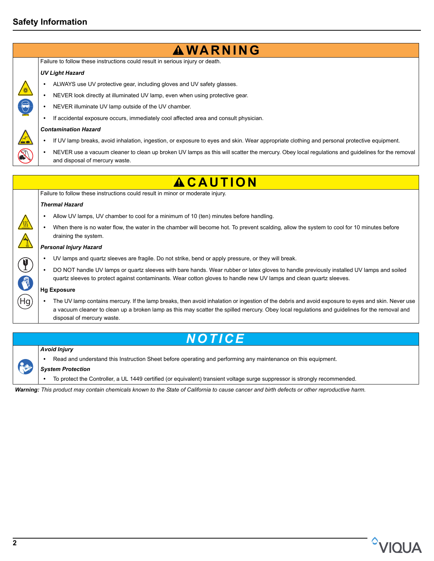## **Safety Information**



## *Avoid Injury*

 **•** Read and understand this Instruction Sheet before operating and performing any maintenance on this equipment.

#### *System Protection*

 **•** To protect the Controller, a UL 1449 certified (or equivalent) transient voltage surge suppressor is strongly recommended.

*Warning: This product may contain chemicals known to the State of California to cause cancer and birth defects or other reproductive harm.*

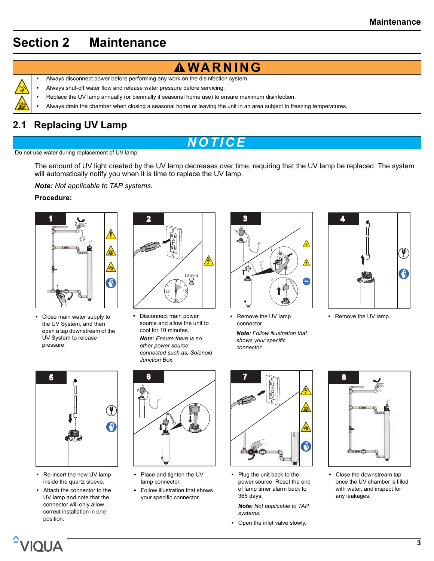# <span id="page-2-0"></span>**Section 2 Maintenance**

- 
- Always disconnect power before performing any work on the disinfection system.
- **•** Always shut-off water flow and release water pressure before servicing.
- **•** Replace the UV lamp annually (or biennially if seasonal home use) to ensure maximum disinfection.
- **•** Always drain the chamber when closing a seasonal home or leaving the unit in an area subject to freezing temperatures.

## **2.1 Replacing UV Lamp**

# *NOTICE*

#### Do not use water during replacement of UV lamp.

The amount of UV light created by the UV lamp decreases over time, requiring that the UV lamp be replaced. The system will automatically notify you when it is time to replace the UV lamp.

*Note: Not applicable to TAP systems.*

### **Procedure:**



**•** Close main water supply to the UV System, and then open a tap downstream of the UV System to release pressure.



**•** Disconnect main power source and allow the unit to cool for 10 minutes.

*Note: Ensure there is no other power source connected such as, Solenoid Junction Box.*



- Remove the UV lamp connector.
- *Note: Follow illustration that shows your specific connector.*



**•** Remove the UV lamp.



- Re-insert the new UV lamp inside the quartz sleeve.
- Attach the connector to the UV lamp and note that the connector will only allow correct installation in one position.



- Place and tighten the UV lamp connector.
- Follow illustration that shows your specific connector.



**•** Plug the unit back to the power source. Reset the end of lamp timer alarm back to 365 days.

*Note: Not applicable to TAP systems.*

**•** Open the inlet valve slowly.



**•** Close the downstream tap once the UV chamber is filled with water, and inspect for any leakages.